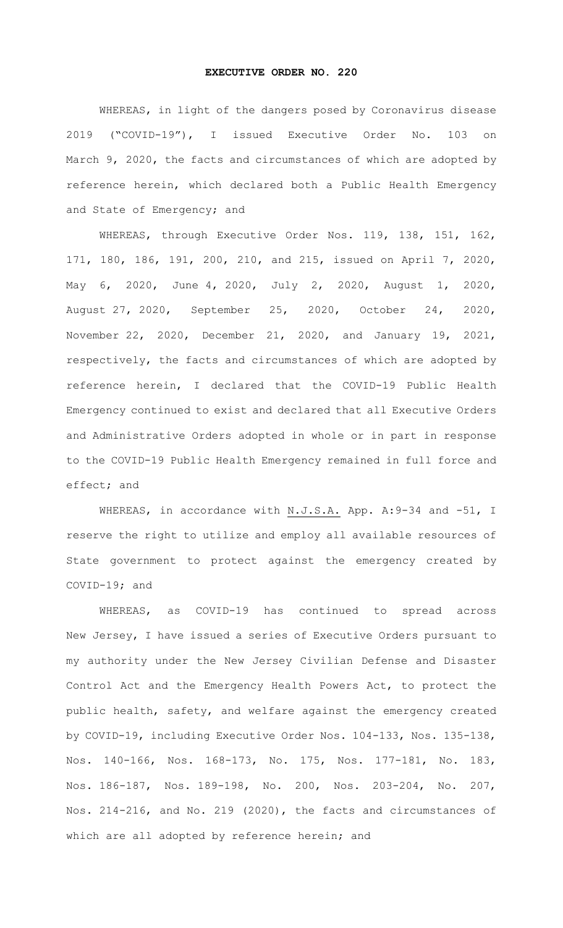## **EXECUTIVE ORDER NO. 220**

WHEREAS, in light of the dangers posed by Coronavirus disease 2019 ("COVID-19"), I issued Executive Order No. 103 on March 9, 2020, the facts and circumstances of which are adopted by reference herein, which declared both a Public Health Emergency and State of Emergency; and

WHEREAS, through Executive Order Nos. 119, 138, 151, 162, 171, 180, 186, 191, 200, 210, and 215, issued on April 7, 2020, May 6, 2020, June 4, 2020, July 2, 2020, August 1, 2020, August 27, 2020, September 25, 2020, October 24, 2020, November 22, 2020, December 21, 2020, and January 19, 2021, respectively, the facts and circumstances of which are adopted by reference herein, I declared that the COVID-19 Public Health Emergency continued to exist and declared that all Executive Orders and Administrative Orders adopted in whole or in part in response to the COVID-19 Public Health Emergency remained in full force and effect; and

WHEREAS, in accordance with N.J.S.A. App. A: 9-34 and -51, I reserve the right to utilize and employ all available resources of State government to protect against the emergency created by COVID-19; and

WHEREAS, as COVID-19 has continued to spread across New Jersey, I have issued a series of Executive Orders pursuant to my authority under the New Jersey Civilian Defense and Disaster Control Act and the Emergency Health Powers Act, to protect the public health, safety, and welfare against the emergency created by COVID-19, including Executive Order Nos. 104-133, Nos. 135-138, Nos. 140-166, Nos. 168-173, No. 175, Nos. 177-181, No. 183, Nos. 186-187, Nos. 189-198, No. 200, Nos. 203-204, No. 207, Nos. 214-216, and No. 219 (2020), the facts and circumstances of which are all adopted by reference herein; and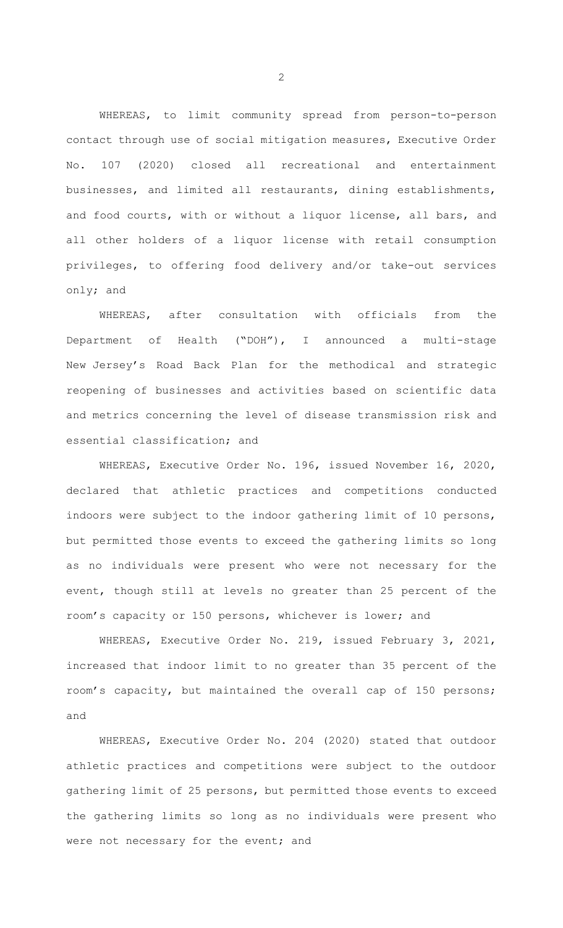WHEREAS, to limit community spread from person-to-person contact through use of social mitigation measures, Executive Order No. 107 (2020) closed all recreational and entertainment businesses, and limited all restaurants, dining establishments, and food courts, with or without a liquor license, all bars, and all other holders of a liquor license with retail consumption privileges, to offering food delivery and/or take-out services only; and

WHEREAS, after consultation with officials from the Department of Health ("DOH"), I announced a multi-stage New Jersey's Road Back Plan for the methodical and strategic reopening of businesses and activities based on scientific data and metrics concerning the level of disease transmission risk and essential classification; and

WHEREAS, Executive Order No. 196, issued November 16, 2020, declared that athletic practices and competitions conducted indoors were subject to the indoor gathering limit of 10 persons, but permitted those events to exceed the gathering limits so long as no individuals were present who were not necessary for the event, though still at levels no greater than 25 percent of the room's capacity or 150 persons, whichever is lower; and

WHEREAS, Executive Order No. 219, issued February 3, 2021, increased that indoor limit to no greater than 35 percent of the room's capacity, but maintained the overall cap of 150 persons; and

WHEREAS, Executive Order No. 204 (2020) stated that outdoor athletic practices and competitions were subject to the outdoor gathering limit of 25 persons, but permitted those events to exceed the gathering limits so long as no individuals were present who were not necessary for the event; and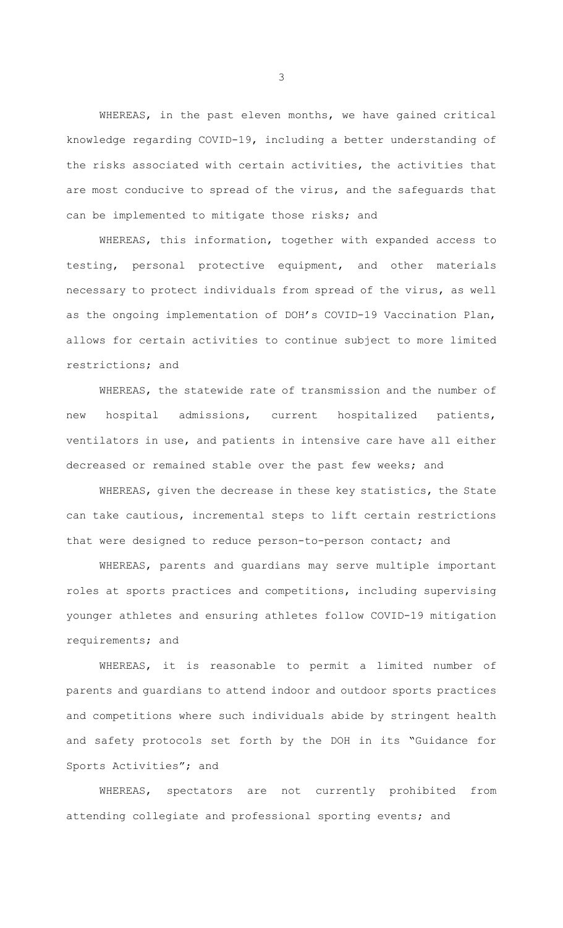WHEREAS, in the past eleven months, we have gained critical knowledge regarding COVID-19, including a better understanding of the risks associated with certain activities, the activities that are most conducive to spread of the virus, and the safeguards that can be implemented to mitigate those risks; and

WHEREAS, this information, together with expanded access to testing, personal protective equipment, and other materials necessary to protect individuals from spread of the virus, as well as the ongoing implementation of DOH's COVID-19 Vaccination Plan, allows for certain activities to continue subject to more limited restrictions; and

WHEREAS, the statewide rate of transmission and the number of new hospital admissions, current hospitalized patients, ventilators in use, and patients in intensive care have all either decreased or remained stable over the past few weeks; and

WHEREAS, given the decrease in these key statistics, the State can take cautious, incremental steps to lift certain restrictions that were designed to reduce person-to-person contact; and

WHEREAS, parents and guardians may serve multiple important roles at sports practices and competitions, including supervising younger athletes and ensuring athletes follow COVID-19 mitigation requirements; and

WHEREAS, it is reasonable to permit a limited number of parents and guardians to attend indoor and outdoor sports practices and competitions where such individuals abide by stringent health and safety protocols set forth by the DOH in its "Guidance for Sports Activities"; and

WHEREAS, spectators are not currently prohibited from attending collegiate and professional sporting events; and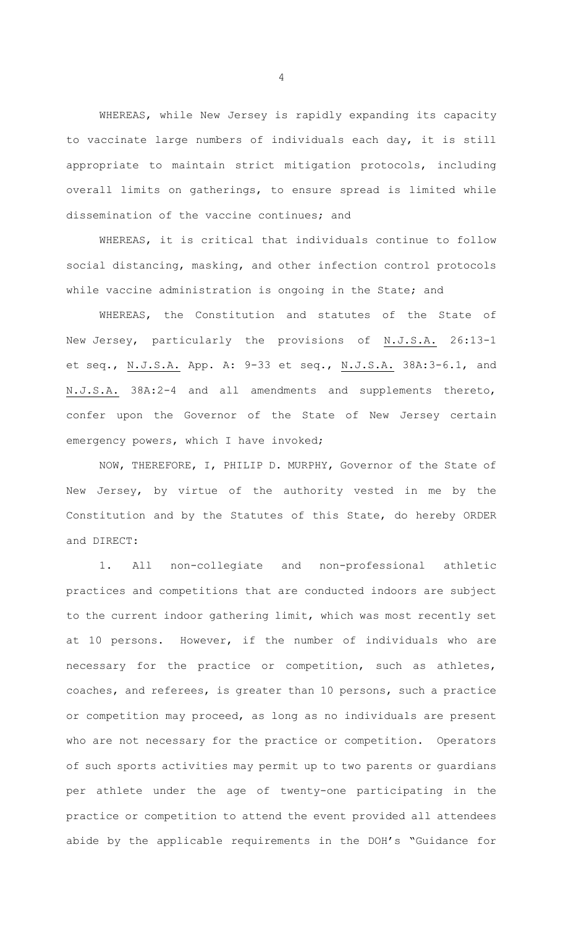WHEREAS, while New Jersey is rapidly expanding its capacity to vaccinate large numbers of individuals each day, it is still appropriate to maintain strict mitigation protocols, including overall limits on gatherings, to ensure spread is limited while dissemination of the vaccine continues; and

WHEREAS, it is critical that individuals continue to follow social distancing, masking, and other infection control protocols while vaccine administration is ongoing in the State; and

WHEREAS, the Constitution and statutes of the State of New Jersey, particularly the provisions of N.J.S.A. 26:13-1 et seq., N.J.S.A. App. A: 9-33 et seq., N.J.S.A. 38A:3-6.1, and N.J.S.A. 38A:2-4 and all amendments and supplements thereto, confer upon the Governor of the State of New Jersey certain emergency powers, which I have invoked;

 NOW, THEREFORE, I, PHILIP D. MURPHY, Governor of the State of New Jersey, by virtue of the authority vested in me by the Constitution and by the Statutes of this State, do hereby ORDER and DIRECT:

1. All non-collegiate and non-professional athletic practices and competitions that are conducted indoors are subject to the current indoor gathering limit, which was most recently set at 10 persons. However, if the number of individuals who are necessary for the practice or competition, such as athletes, coaches, and referees, is greater than 10 persons, such a practice or competition may proceed, as long as no individuals are present who are not necessary for the practice or competition. Operators of such sports activities may permit up to two parents or guardians per athlete under the age of twenty-one participating in the practice or competition to attend the event provided all attendees abide by the applicable requirements in the DOH's "Guidance for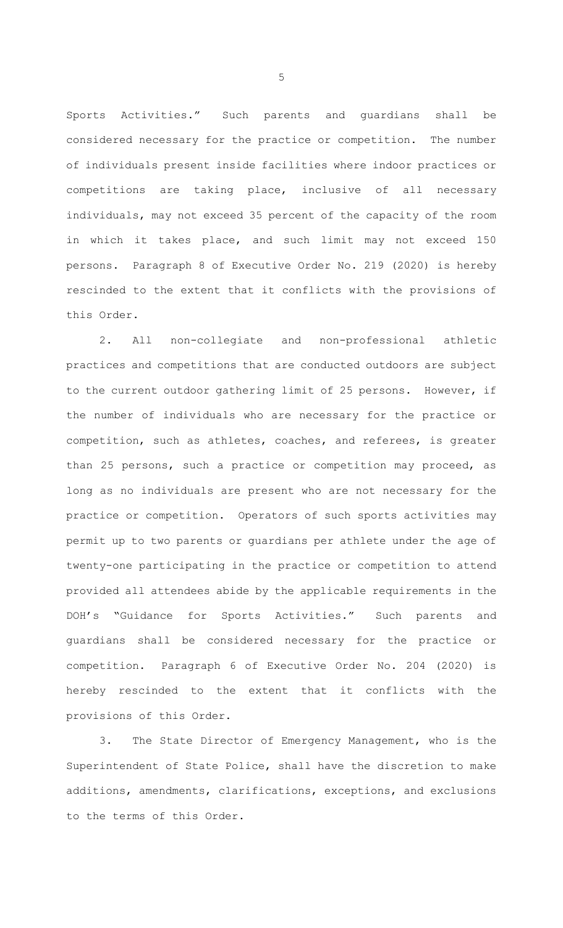Sports Activities." Such parents and guardians shall be considered necessary for the practice or competition. The number of individuals present inside facilities where indoor practices or competitions are taking place, inclusive of all necessary individuals, may not exceed 35 percent of the capacity of the room in which it takes place, and such limit may not exceed 150 persons. Paragraph 8 of Executive Order No. 219 (2020) is hereby rescinded to the extent that it conflicts with the provisions of this Order.

2. All non-collegiate and non-professional athletic practices and competitions that are conducted outdoors are subject to the current outdoor gathering limit of 25 persons. However, if the number of individuals who are necessary for the practice or competition, such as athletes, coaches, and referees, is greater than 25 persons, such a practice or competition may proceed, as long as no individuals are present who are not necessary for the practice or competition. Operators of such sports activities may permit up to two parents or guardians per athlete under the age of twenty-one participating in the practice or competition to attend provided all attendees abide by the applicable requirements in the DOH's "Guidance for Sports Activities." Such parents and guardians shall be considered necessary for the practice or competition. Paragraph 6 of Executive Order No. 204 (2020) is hereby rescinded to the extent that it conflicts with the provisions of this Order.

3. The State Director of Emergency Management, who is the Superintendent of State Police, shall have the discretion to make additions, amendments, clarifications, exceptions, and exclusions to the terms of this Order.